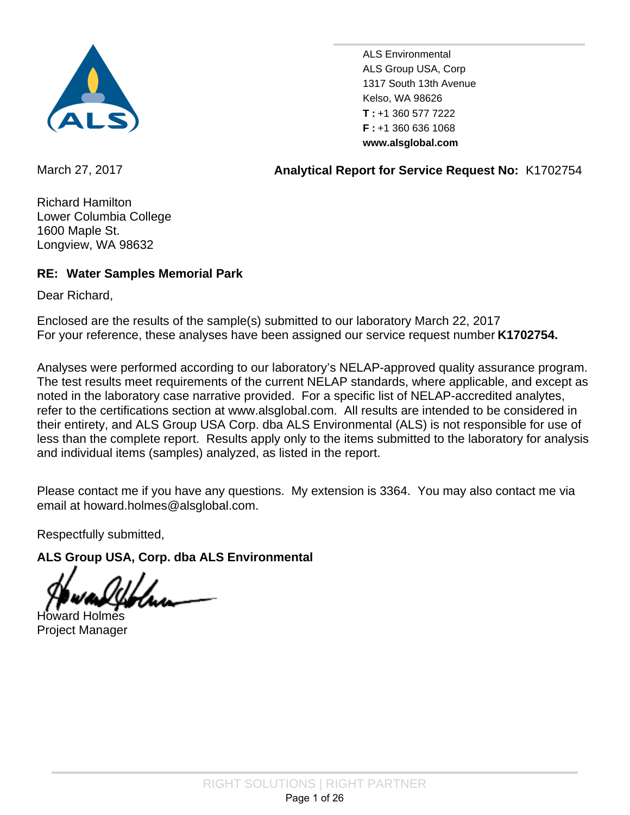

ALS Group USA, Corp 1317 South 13th Avenue Kelso, WA 98626 +1 360 577 7222 **T : F** : +1 360 636 1068 ALS Environmental **www.alsglobal.com**

March 27, 2017 **Analytical Report for Service Request No:** K1702754

Richard Hamilton Lower Columbia College 1600 Maple St. Longview, WA 98632

## **RE: Water Samples Memorial Park**

Dear Richard,

For your reference, these analyses have been assigned our service request number **K1702754.** Enclosed are the results of the sample(s) submitted to our laboratory March 22, 2017

Analyses were performed according to our laboratory's NELAP-approved quality assurance program. The test results meet requirements of the current NELAP standards, where applicable, and except as noted in the laboratory case narrative provided. For a specific list of NELAP-accredited analytes, refer to the certifications section at www.alsglobal.com. All results are intended to be considered in their entirety, and ALS Group USA Corp. dba ALS Environmental (ALS) is not responsible for use of less than the complete report. Results apply only to the items submitted to the laboratory for analysis and individual items (samples) analyzed, as listed in the report.

Please contact me if you have any questions. My extension is 3364. You may also contact me via email at howard.holmes@alsglobal.com.

Respectfully submitted,

**ALS Group USA, Corp. dba ALS Environmental**

Howard Holmes Project Manager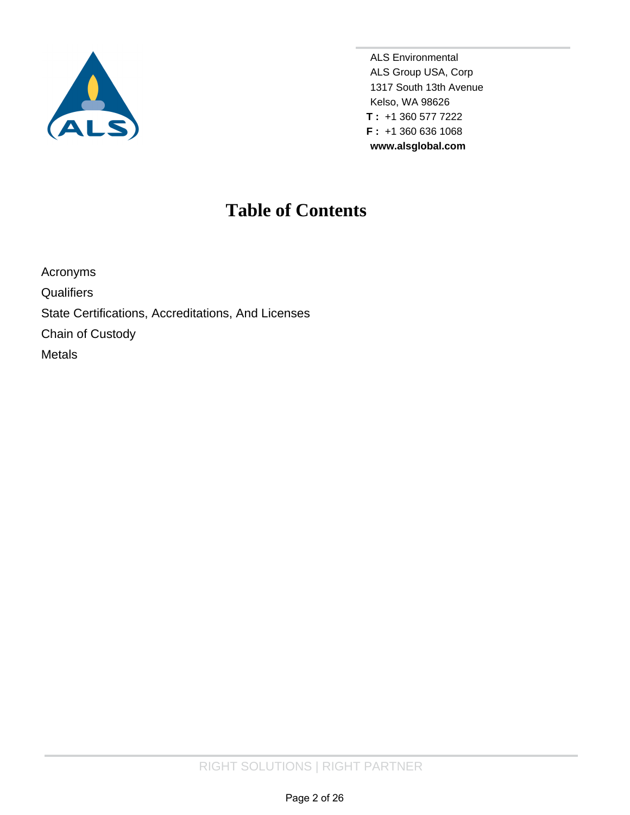

**www.alsglobal.com** ALS Environmental **F :** +1 360 636 1068 **T :** +1 360 577 7222 Kelso, WA 98626 1317 South 13th Avenue ALS Group USA, Corp

## **Table of Contents**

[Acronyms](#page-2-0) **[Qualifiers](#page-3-0)** [State Certifications, Accreditations, And Licenses](#page-4-0) [Chain of Custody](#page-5-0) [Metals](#page-8-0)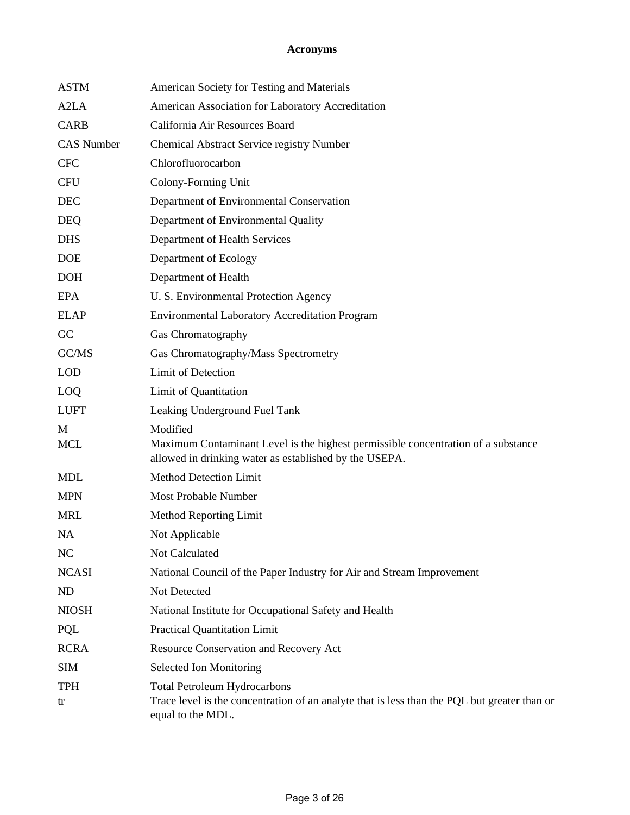## **Acronyms**

<span id="page-2-0"></span>

| <b>ASTM</b>       | American Society for Testing and Materials                                                                                                               |
|-------------------|----------------------------------------------------------------------------------------------------------------------------------------------------------|
| A <sub>2</sub> LA | American Association for Laboratory Accreditation                                                                                                        |
| <b>CARB</b>       | California Air Resources Board                                                                                                                           |
| <b>CAS Number</b> | Chemical Abstract Service registry Number                                                                                                                |
| <b>CFC</b>        | Chlorofluorocarbon                                                                                                                                       |
| <b>CFU</b>        | Colony-Forming Unit                                                                                                                                      |
| <b>DEC</b>        | Department of Environmental Conservation                                                                                                                 |
| <b>DEQ</b>        | Department of Environmental Quality                                                                                                                      |
| <b>DHS</b>        | Department of Health Services                                                                                                                            |
| <b>DOE</b>        | Department of Ecology                                                                                                                                    |
| <b>DOH</b>        | Department of Health                                                                                                                                     |
| <b>EPA</b>        | U. S. Environmental Protection Agency                                                                                                                    |
| <b>ELAP</b>       | <b>Environmental Laboratory Accreditation Program</b>                                                                                                    |
| GC                | Gas Chromatography                                                                                                                                       |
| GC/MS             | Gas Chromatography/Mass Spectrometry                                                                                                                     |
| <b>LOD</b>        | Limit of Detection                                                                                                                                       |
| LOQ               | Limit of Quantitation                                                                                                                                    |
| <b>LUFT</b>       | Leaking Underground Fuel Tank                                                                                                                            |
| M<br><b>MCL</b>   | Modified<br>Maximum Contaminant Level is the highest permissible concentration of a substance<br>allowed in drinking water as established by the USEPA.  |
| <b>MDL</b>        | <b>Method Detection Limit</b>                                                                                                                            |
| <b>MPN</b>        | <b>Most Probable Number</b>                                                                                                                              |
| <b>MRL</b>        | Method Reporting Limit                                                                                                                                   |
| <b>NA</b>         | Not Applicable                                                                                                                                           |
| NC                | Not Calculated                                                                                                                                           |
| <b>NCASI</b>      | National Council of the Paper Industry for Air and Stream Improvement                                                                                    |
| ND                | Not Detected                                                                                                                                             |
| <b>NIOSH</b>      | National Institute for Occupational Safety and Health                                                                                                    |
| PQL               | <b>Practical Quantitation Limit</b>                                                                                                                      |
| <b>RCRA</b>       | Resource Conservation and Recovery Act                                                                                                                   |
| <b>SIM</b>        | Selected Ion Monitoring                                                                                                                                  |
| <b>TPH</b><br>tr  | <b>Total Petroleum Hydrocarbons</b><br>Trace level is the concentration of an analyte that is less than the PQL but greater than or<br>equal to the MDL. |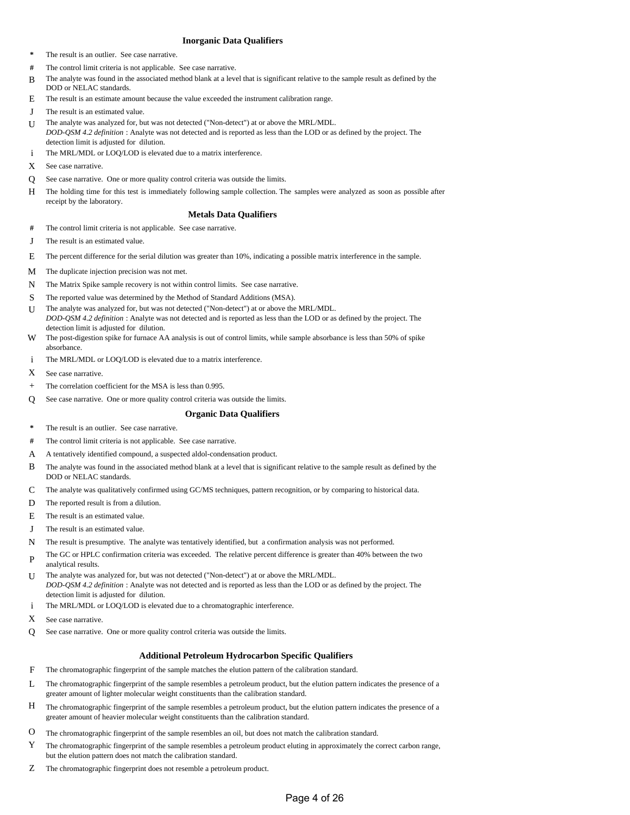#### **Inorganic Data Qualifiers**

- <span id="page-3-0"></span>**\*** The result is an outlier. See case narrative.
- **#** The control limit criteria is not applicable. See case narrative.
- B The analyte was found in the associated method blank at a level that is significant relative to the sample result as defined by the DOD or NELAC standards.
- E The result is an estimate amount because the value exceeded the instrument calibration range.
- J The result is an estimated value.
- U The analyte was analyzed for, but was not detected ("Non-detect") at or above the MRL/MDL. *DOD-QSM 4.2 definition* : Analyte was not detected and is reported as less than the LOD or as defined by the project. The detection limit is adjusted for dilution.
- i The MRL/MDL or LOQ/LOD is elevated due to a matrix interference.
- X See case narrative.
- Q See case narrative. One or more quality control criteria was outside the limits.
- H The holding time for this test is immediately following sample collection. The samples were analyzed as soon as possible after receipt by the laboratory.

#### **Metals Data Qualifiers**

- **#** The control limit criteria is not applicable. See case narrative.
- J The result is an estimated value.
- E The percent difference for the serial dilution was greater than 10%, indicating a possible matrix interference in the sample.
- M The duplicate injection precision was not met.
- N The Matrix Spike sample recovery is not within control limits. See case narrative.
- S The reported value was determined by the Method of Standard Additions (MSA).
- U The analyte was analyzed for, but was not detected ("Non-detect") at or above the MRL/MDL.
- *DOD-QSM 4.2 definition* : Analyte was not detected and is reported as less than the LOD or as defined by the project. The detection limit is adjusted for dilution.
- W The post-digestion spike for furnace AA analysis is out of control limits, while sample absorbance is less than 50% of spike absorbance.
- i The MRL/MDL or LOQ/LOD is elevated due to a matrix interference.
- X See case narrative.
- + The correlation coefficient for the MSA is less than 0.995.
- Q See case narrative. One or more quality control criteria was outside the limits.

#### **Organic Data Qualifiers**

- **\*** The result is an outlier. See case narrative.
- **#** The control limit criteria is not applicable. See case narrative.
- A A tentatively identified compound, a suspected aldol-condensation product.
- B The analyte was found in the associated method blank at a level that is significant relative to the sample result as defined by the DOD or NELAC standards.
- C The analyte was qualitatively confirmed using GC/MS techniques, pattern recognition, or by comparing to historical data.
- D The reported result is from a dilution.
- E The result is an estimated value.
- J The result is an estimated value.
- N The result is presumptive. The analyte was tentatively identified, but a confirmation analysis was not performed.
- P The GC or HPLC confirmation criteria was exceeded. The relative percent difference is greater than 40% between the two analytical results.
- U The analyte was analyzed for, but was not detected ("Non-detect") at or above the MRL/MDL. *DOD-QSM 4.2 definition* : Analyte was not detected and is reported as less than the LOD or as defined by the project. The detection limit is adjusted for dilution.
- i The MRL/MDL or LOQ/LOD is elevated due to a chromatographic interference.
- X See case narrative.
- Q See case narrative. One or more quality control criteria was outside the limits.

#### **Additional Petroleum Hydrocarbon Specific Qualifiers**

- F The chromatographic fingerprint of the sample matches the elution pattern of the calibration standard.
- L The chromatographic fingerprint of the sample resembles a petroleum product, but the elution pattern indicates the presence of a greater amount of lighter molecular weight constituents than the calibration standard.
- H The chromatographic fingerprint of the sample resembles a petroleum product, but the elution pattern indicates the presence of a greater amount of heavier molecular weight constituents than the calibration standard.
- O The chromatographic fingerprint of the sample resembles an oil, but does not match the calibration standard.
- Y The chromatographic fingerprint of the sample resembles a petroleum product eluting in approximately the correct carbon range, but the elution pattern does not match the calibration standard.
- Z The chromatographic fingerprint does not resemble a petroleum product.

#### Page 4 of 26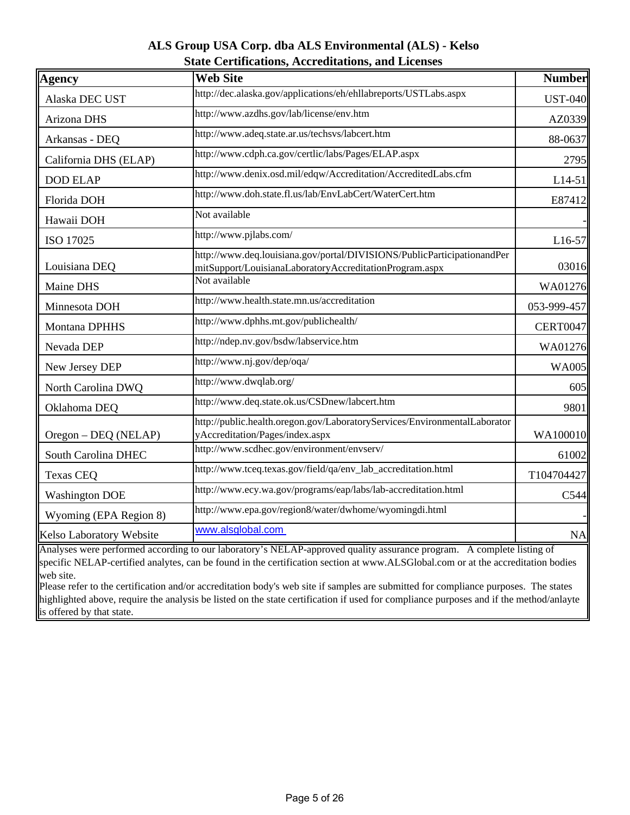## **ALS Group USA Corp. dba ALS Environmental (ALS) - Kelso State Certifications, Accreditations, and Licenses**

<span id="page-4-0"></span>

| Agency                   | <b>Web Site</b>                                                                                                                    | <b>Number</b>   |
|--------------------------|------------------------------------------------------------------------------------------------------------------------------------|-----------------|
| Alaska DEC UST           | http://dec.alaska.gov/applications/eh/ehllabreports/USTLabs.aspx                                                                   | <b>UST-040</b>  |
| Arizona DHS              | http://www.azdhs.gov/lab/license/env.htm                                                                                           | AZ0339          |
| Arkansas - DEQ           | http://www.adeq.state.ar.us/techsvs/labcert.htm                                                                                    | 88-0637         |
| California DHS (ELAP)    | http://www.cdph.ca.gov/certlic/labs/Pages/ELAP.aspx                                                                                | 2795            |
| <b>DOD ELAP</b>          | http://www.denix.osd.mil/edqw/Accreditation/AccreditedLabs.cfm                                                                     | L14-51          |
| Florida DOH              | http://www.doh.state.fl.us/lab/EnvLabCert/WaterCert.htm                                                                            | E87412          |
| Hawaii DOH               | Not available                                                                                                                      |                 |
| ISO 17025                | http://www.pjlabs.com/                                                                                                             | L16-57          |
| Louisiana DEQ            | http://www.deq.louisiana.gov/portal/DIVISIONS/PublicParticipationandPer<br>mitSupport/LouisianaLaboratoryAccreditationProgram.aspx | 03016           |
| Maine DHS                | Not available                                                                                                                      | WA01276         |
| Minnesota DOH            | http://www.health.state.mn.us/accreditation                                                                                        | 053-999-457     |
| Montana DPHHS            | http://www.dphhs.mt.gov/publichealth/                                                                                              | <b>CERT0047</b> |
| Nevada DEP               | http://ndep.nv.gov/bsdw/labservice.htm                                                                                             | WA01276         |
| New Jersey DEP           | http://www.nj.gov/dep/oqa/                                                                                                         | <b>WA005</b>    |
| North Carolina DWQ       | http://www.dwqlab.org/                                                                                                             | 605             |
| Oklahoma DEQ             | http://www.deq.state.ok.us/CSDnew/labcert.htm                                                                                      | 9801            |
|                          | http://public.health.oregon.gov/LaboratoryServices/EnvironmentalLaborator                                                          |                 |
| Oregon - DEQ (NELAP)     | yAccreditation/Pages/index.aspx                                                                                                    | WA100010        |
| South Carolina DHEC      | http://www.scdhec.gov/environment/envserv/                                                                                         | 61002           |
| <b>Texas CEQ</b>         | http://www.tceq.texas.gov/field/qa/env_lab_accreditation.html                                                                      | T104704427      |
| <b>Washington DOE</b>    | http://www.ecy.wa.gov/programs/eap/labs/lab-accreditation.html                                                                     | C544            |
| Wyoming (EPA Region 8)   | http://www.epa.gov/region8/water/dwhome/wyomingdi.html                                                                             |                 |
| Kelso Laboratory Website | www.alsglobal.com                                                                                                                  | <b>NA</b>       |

Analyses were performed according to our laboratory's NELAP-approved quality assurance program. A complete listing of specific NELAP-certified analytes, can be found in the certification section at www.ALSGlobal.com or at the accreditation bodies web site.

Please refer to the certification and/or accreditation body's web site if samples are submitted for compliance purposes. The states highlighted above, require the analysis be listed on the state certification if used for compliance purposes and if the method/anlayte is offered by that state.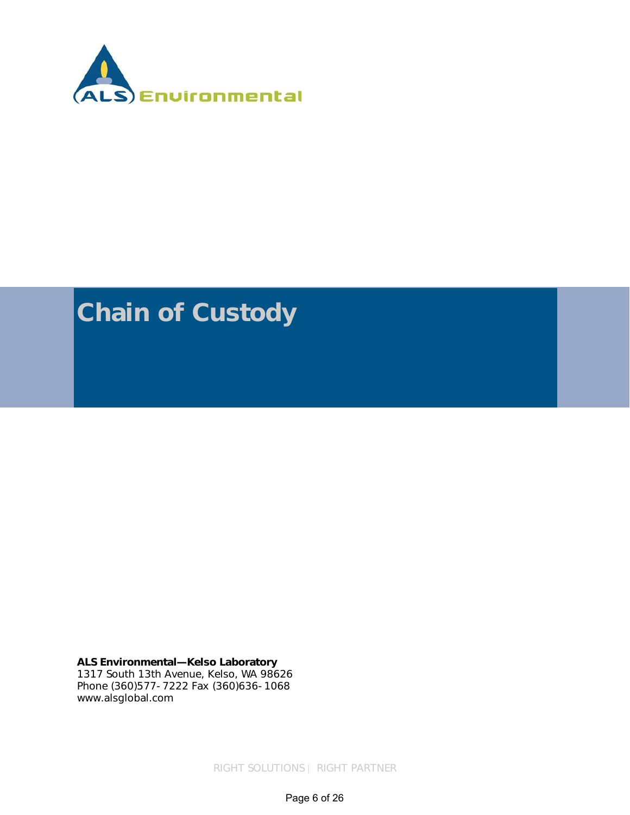<span id="page-5-0"></span>

# **Chain of Custody**

**ALS Environmental—Kelso Laboratory**  1317 South 13th Avenue, Kelso, WA 98626 Phone (360)577-7222 Fax (360)636-1068 www.alsglobal.com

RIGHT SOLUTIONS | RIGHT PARTNER

Page 6 of 26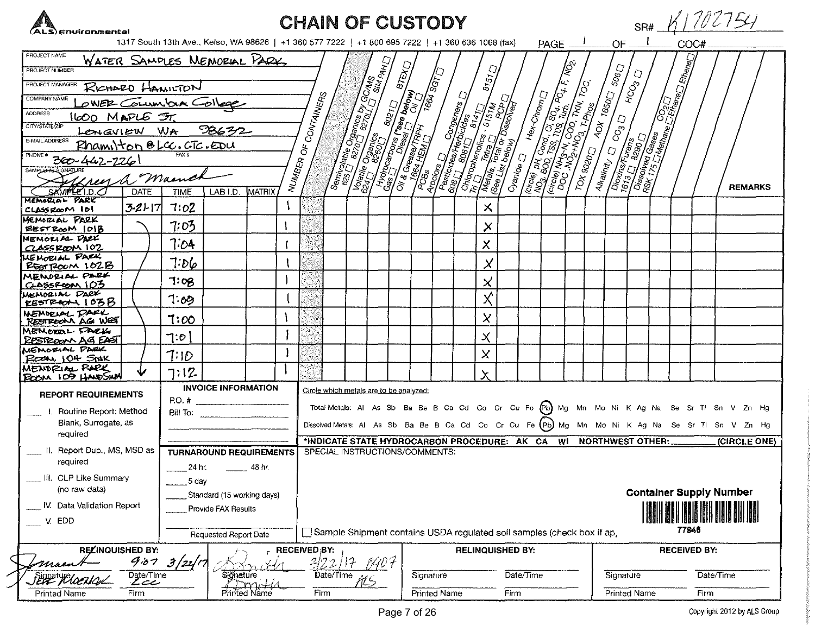| ALS) Environmental                                      |               |                                                                                                   |                                |                 |                                          |              | <b>CHAIN OF CUSTODY</b>                                                                                                                                                                                                              |       |              |                         |                               |                                                                                                                                                                                                                                      |                      |  |                                         |              |         |                     | SR# K1702754                                                                                      |                |
|---------------------------------------------------------|---------------|---------------------------------------------------------------------------------------------------|--------------------------------|-----------------|------------------------------------------|--------------|--------------------------------------------------------------------------------------------------------------------------------------------------------------------------------------------------------------------------------------|-------|--------------|-------------------------|-------------------------------|--------------------------------------------------------------------------------------------------------------------------------------------------------------------------------------------------------------------------------------|----------------------|--|-----------------------------------------|--------------|---------|---------------------|---------------------------------------------------------------------------------------------------|----------------|
|                                                         |               | 1317 South 13th Ave., Keiso, WA 98626   +1 360 577 7222   +1 800 695 7222   +1 360 636 1068 (fax) |                                |                 |                                          |              |                                                                                                                                                                                                                                      |       |              |                         |                               |                                                                                                                                                                                                                                      | $PAGE$ $\frac{1}{2}$ |  | OF.                                     |              |         | COC#                |                                                                                                   |                |
| PROJECT NAME<br>PROJECT NUMBER                          |               | WATER SAMPLES MEMORIAL PARK,                                                                      |                                |                 |                                          |              | <b>Seminary Contract of Contract of Contract of Contract of Contract of Contract of Contract of Contract of Contract of Contract of Contract of Contract of Contract of Contract of Contract of Contract of Contract of Contract</b> |       |              | $\frac{575}{256}$       |                               | <b>CONSTRUCTION AND SCREEN ASSESSMENT AND RESERVED AND RESERVED SCREEN ASSESSMENT AND SCREEN ASSESSMENT AND RESERVED AND SCREEN ASSESSMENT AND RESERVED AND RESERVED AND RESERVED AND RESERVED AND RESERVED AND RESERVED AND RES</b> |                      |  | <b>ADX 1650</b> 506D                    |              | Ethener |                     |                                                                                                   |                |
| PROJECT MANAGER                                         |               | RICHARD HAMILTON                                                                                  |                                |                 |                                          |              |                                                                                                                                                                                                                                      |       | <b>SS</b>    |                         |                               |                                                                                                                                                                                                                                      |                      |  |                                         | HCO3 D       |         |                     |                                                                                                   |                |
| COMPANY NAME                                            |               | OWER COLUMBUR COLLEGE                                                                             |                                |                 |                                          | CONTAINERS   |                                                                                                                                                                                                                                      |       |              |                         |                               |                                                                                                                                                                                                                                      |                      |  |                                         |              |         |                     |                                                                                                   |                |
| <b>ADDRESS</b><br>1600 MAPLE ST.                        |               |                                                                                                   |                                |                 |                                          |              |                                                                                                                                                                                                                                      |       |              |                         |                               |                                                                                                                                                                                                                                      |                      |  |                                         |              |         |                     |                                                                                                   |                |
| CITY/STATE/ZIP                                          |               | Lengview WA 98632                                                                                 |                                |                 |                                          |              |                                                                                                                                                                                                                                      |       |              |                         |                               |                                                                                                                                                                                                                                      |                      |  |                                         |              |         |                     |                                                                                                   |                |
| E-MAIL ADDRESS<br>Phamilton @ LCC. CTC. EDU             |               |                                                                                                   |                                |                 | $\stackrel{\scriptscriptstyle L}{\circ}$ |              |                                                                                                                                                                                                                                      |       |              |                         |                               |                                                                                                                                                                                                                                      |                      |  |                                         |              |         |                     |                                                                                                   |                |
| PHONE #<br>300-442-2261                                 |               |                                                                                                   |                                |                 |                                          |              |                                                                                                                                                                                                                                      |       |              |                         |                               |                                                                                                                                                                                                                                      |                      |  |                                         |              |         |                     |                                                                                                   |                |
| SAMPLER'S SIGNATURE<br><u>Green a Maines</u>            |               |                                                                                                   |                                |                 | NUMB <sub>ER</sub>                       |              |                                                                                                                                                                                                                                      |       |              |                         | $C$ yani $\alpha$ e $\bigcap$ |                                                                                                                                                                                                                                      |                      |  | <b>Alkailnity</b> El CO <sub>3</sub> El |              |         |                     |                                                                                                   | <b>REMARKS</b> |
| SAMPLE I.D.O<br>MEMORIAL PARK                           | <b>DATE</b>   | <b>TIME</b>                                                                                       | LAB I.D.                       | MATRIX          |                                          |              |                                                                                                                                                                                                                                      |       |              |                         |                               |                                                                                                                                                                                                                                      |                      |  |                                         |              |         |                     |                                                                                                   |                |
| $CLASSZ\alpha$ M 161                                    | $3 - 21 - 17$ | 7:02                                                                                              |                                |                 |                                          |              |                                                                                                                                                                                                                                      |       |              | $\times$                |                               |                                                                                                                                                                                                                                      |                      |  |                                         |              |         |                     |                                                                                                   |                |
| MEMORIAL PARK<br>EESTROOM 1018                          |               | 7:03                                                                                              |                                |                 |                                          |              |                                                                                                                                                                                                                                      |       |              | X                       |                               |                                                                                                                                                                                                                                      |                      |  |                                         |              |         |                     |                                                                                                   |                |
| MEMORIAL DARK                                           |               | 7:04                                                                                              |                                |                 |                                          |              |                                                                                                                                                                                                                                      |       |              |                         |                               |                                                                                                                                                                                                                                      |                      |  |                                         |              |         |                     |                                                                                                   |                |
| $CLSSEQON$ 102<br><b>WE MORIAL PARK</b>                 |               |                                                                                                   |                                |                 |                                          |              |                                                                                                                                                                                                                                      |       |              | $\pmb{\times}$          |                               |                                                                                                                                                                                                                                      |                      |  |                                         |              |         |                     |                                                                                                   |                |
| RESTROOM 102B                                           |               | 7:56                                                                                              |                                |                 |                                          |              |                                                                                                                                                                                                                                      |       |              | $\pmb{\times}$          |                               |                                                                                                                                                                                                                                      |                      |  |                                         |              |         |                     |                                                                                                   |                |
| MENDRIAL PARK<br>$C-$ ASSPCON $102$                     |               | 7:08                                                                                              |                                |                 |                                          |              |                                                                                                                                                                                                                                      |       |              | $\pmb{\times}$          |                               |                                                                                                                                                                                                                                      |                      |  |                                         |              |         |                     |                                                                                                   |                |
| MEMORIAL PARK<br>R5578601105B                           |               | 7.09                                                                                              |                                |                 |                                          |              |                                                                                                                                                                                                                                      |       |              | $\chi$                  |                               |                                                                                                                                                                                                                                      |                      |  |                                         |              |         |                     |                                                                                                   |                |
| MEMBELL PARK<br>RESTROOM AG WEST                        |               | 7:00                                                                                              |                                |                 |                                          |              |                                                                                                                                                                                                                                      |       |              | X                       |                               |                                                                                                                                                                                                                                      |                      |  |                                         |              |         |                     |                                                                                                   |                |
| MEMORAL FACK<br>RESTROOM AG EAST                        |               | 7.0                                                                                               |                                |                 |                                          |              |                                                                                                                                                                                                                                      |       |              | $\boldsymbol{\times}$   |                               |                                                                                                                                                                                                                                      |                      |  |                                         |              |         |                     |                                                                                                   |                |
| MEMORIAL PARK                                           |               | 7.10                                                                                              |                                |                 |                                          |              |                                                                                                                                                                                                                                      |       |              | $\times$                |                               |                                                                                                                                                                                                                                      |                      |  |                                         |              |         |                     |                                                                                                   |                |
| ROOM 104 SIAK<br>MENDRIAL RARK                          |               |                                                                                                   |                                |                 |                                          |              |                                                                                                                                                                                                                                      |       |              |                         |                               |                                                                                                                                                                                                                                      |                      |  |                                         |              |         |                     |                                                                                                   |                |
| BOOM 109 HAVESINA                                       |               | 7:12                                                                                              |                                |                 |                                          |              |                                                                                                                                                                                                                                      |       |              | $\sf X$                 |                               |                                                                                                                                                                                                                                      |                      |  |                                         |              |         |                     |                                                                                                   |                |
| <b>REPORT REQUIREMENTS</b><br>I. Routine Report: Method |               |                                                                                                   | <b>INVOICE INFORMATION</b>     |                 |                                          |              | Circle which metals are to be analyzed:                                                                                                                                                                                              |       |              |                         |                               |                                                                                                                                                                                                                                      |                      |  |                                         |              |         |                     | Total Metals: Al As Sb Ba Be B Ca Cd Co Cr Cu Fe (Pb) Mg Mn Mo Ni K Ag Na Se Sr TI Sn V Zn Hg     |                |
| Blank, Surrogate, as                                    |               |                                                                                                   | Bill To:                       |                 |                                          |              |                                                                                                                                                                                                                                      |       |              |                         |                               |                                                                                                                                                                                                                                      |                      |  |                                         |              |         |                     | Dissolved Metals: AI As Sb Ba Be B Ca Cd Co Cr Cu Fe (Pb) Mg Mn Mo Ni K Ag Na Se Sr TI Sn V Zn Hg |                |
| required                                                |               |                                                                                                   |                                |                 |                                          |              |                                                                                                                                                                                                                                      |       |              |                         |                               |                                                                                                                                                                                                                                      |                      |  |                                         |              |         |                     |                                                                                                   |                |
| II. Report Dup., MS, MSD as                             |               |                                                                                                   | <b>TURNAROUND REQUIREMENTS</b> |                 |                                          |              | *INDICATE STATE HYDROCARBON PROCEDURE: AK CA WI NORTHWEST OTHER:<br>SPECIAL INSTRUCTIONS/COMMENTS:                                                                                                                                   |       |              |                         |                               |                                                                                                                                                                                                                                      |                      |  |                                         |              |         |                     | (CIRCLE ONE)                                                                                      |                |
| required                                                |               | 24 hr.                                                                                            |                                | 48 hr.          |                                          |              |                                                                                                                                                                                                                                      |       |              |                         |                               |                                                                                                                                                                                                                                      |                      |  |                                         |              |         |                     |                                                                                                   |                |
| III. CLP Like Summary                                   |               | 5 day                                                                                             |                                |                 |                                          |              |                                                                                                                                                                                                                                      |       |              |                         |                               |                                                                                                                                                                                                                                      |                      |  |                                         |              |         |                     |                                                                                                   |                |
| (no raw data)                                           |               |                                                                                                   | Standard (15 working days)     |                 |                                          |              |                                                                                                                                                                                                                                      |       |              |                         |                               |                                                                                                                                                                                                                                      |                      |  |                                         |              |         |                     | <b>Container Supply Number</b>                                                                    |                |
| IV. Data Validation Report                              |               |                                                                                                   | Provide FAX Results            |                 |                                          |              |                                                                                                                                                                                                                                      |       |              |                         |                               |                                                                                                                                                                                                                                      |                      |  |                                         |              |         |                     |                                                                                                   |                |
| EDD<br>$\mathbf{V}_{\mathbf{r}}$                        |               |                                                                                                   | Requested Report Date          |                 |                                          |              | Sample Shipment contains USDA regulated soil samples (check box if ap,                                                                                                                                                               |       |              |                         |                               |                                                                                                                                                                                                                                      |                      |  |                                         |              | 77946   |                     |                                                                                                   |                |
| <b>RELINQUISHED BY:</b>                                 |               |                                                                                                   |                                |                 |                                          | RECEIVED;BY: |                                                                                                                                                                                                                                      |       |              | <b>RELINQUISHED BY:</b> |                               |                                                                                                                                                                                                                                      |                      |  |                                         |              |         | <b>RECEIVED BY:</b> |                                                                                                   |                |
|                                                         | 9.07          | 3/21/7                                                                                            |                                |                 |                                          | 3122         |                                                                                                                                                                                                                                      | PGO 4 |              |                         |                               |                                                                                                                                                                                                                                      |                      |  |                                         |              |         |                     |                                                                                                   |                |
| SEPE Plocual                                            | Date/Time     |                                                                                                   | Signature                      |                 |                                          | Date/Time    |                                                                                                                                                                                                                                      |       | Signature    |                         |                               | Date/Time                                                                                                                                                                                                                            |                      |  | Signature                               |              |         | Date/Time           |                                                                                                   |                |
| <b>Printed Name</b>                                     | Firm          |                                                                                                   |                                | $P$ rinted Name |                                          | Firm         |                                                                                                                                                                                                                                      |       | Printed Name |                         | Firm                          |                                                                                                                                                                                                                                      |                      |  |                                         | Printed Name |         | Firm                |                                                                                                   |                |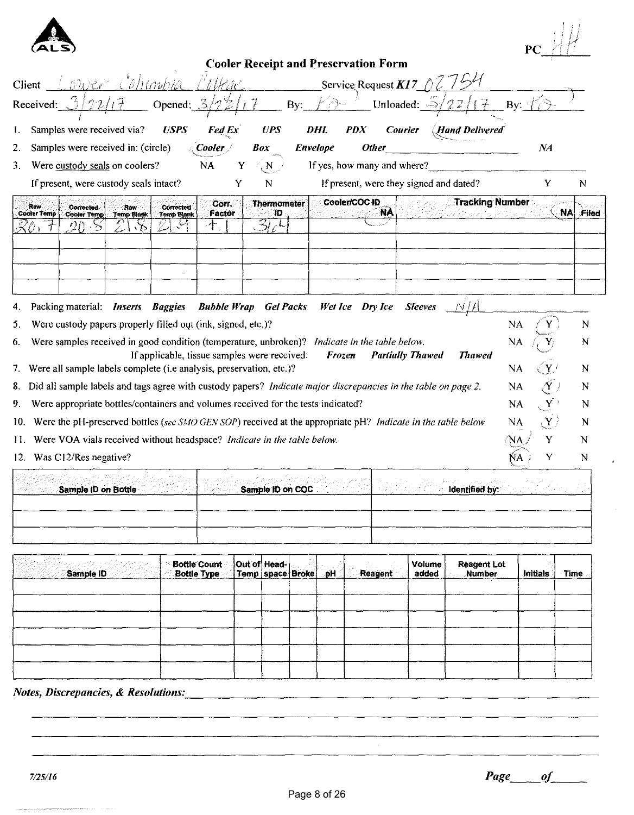

| <b>Cooler Receipt and Preservation Form</b>                                                                                                                                                                                   |                      |                     |
|-------------------------------------------------------------------------------------------------------------------------------------------------------------------------------------------------------------------------------|----------------------|---------------------|
| l'ithac<br><u>ower C</u> ohimbia<br>Service Request $KI$ 7 $\langle \rangle$<br>Client                                                                                                                                        |                      |                     |
| Opened: $3/22$<br>By:<br>Unloaded: $\Rightarrow$<br>Received:                                                                                                                                                                 | $By:~^{\circ}$       |                     |
| Samples were received via?<br><b>USPS</b><br><b>Fed Ex</b><br><b>UPS</b><br>DHL<br><i>PDX</i><br><b>Courier</b><br>Hand Delivered<br>1.                                                                                       |                      |                     |
| Samples were received in: (circle)<br><b>Other</b><br>2.<br>Box<br><b>Envelope</b><br>Cooler <i>i</i>                                                                                                                         | NA                   |                     |
| <b>NA</b><br>If yes, how many and where?<br>Were custody seals on coolers?<br>Y<br>3.<br>N                                                                                                                                    |                      |                     |
| If present, were custody seals intact?<br>If present, were they signed and dated?<br>Y<br>N                                                                                                                                   | Y                    | N                   |
| <b>Tracking Number</b><br>Cooler/COC ID<br><b>Thermometer</b><br>Con.<br>Raw<br>Corrected<br>Corrected.<br>Raw<br>NA<br>Factor<br>Ð<br><b>Cooler Temp</b><br>Temp Blank<br>Kabulanga UKOD<br><b>Cooler Temp</b><br>Temp Blank |                      | <b>NAI</b><br>Filed |
| ㅏ                                                                                                                                                                                                                             |                      |                     |
|                                                                                                                                                                                                                               |                      |                     |
|                                                                                                                                                                                                                               |                      |                     |
|                                                                                                                                                                                                                               |                      |                     |
| Packing material: <i>Inserts Baggies</i><br><b>Bubble Wrap</b> Gel Packs<br>Wet Ice Dry Ice<br><b>Sleeves</b><br>N I A<br>4.                                                                                                  |                      |                     |
| Were custody papers properly filled out (ink, signed, etc.)?<br>5.                                                                                                                                                            | NA                   | N                   |
| Were samples received in good condition (temperature, unbroken)? Indicate in the table below.<br>6.                                                                                                                           | NA                   | N                   |
| If applicable, tissue samples were received:<br><b>Partially Thawed</b><br>Frozen<br><b>Thawed</b><br>7. Were all sample labels complete (i.e analysis, preservation, etc.)?                                                  | NA                   | N                   |
| 8. Did all sample labels and tags agree with custody papers? Indicate major discrepancies in the table on page 2.                                                                                                             | NA                   | 'N                  |
| Were appropriate bottles/containers and volumes received for the tests indicated?<br>9.                                                                                                                                       | $\mathbf{Y}$<br>NA.  | N                   |
| Were the pH-preserved bottles (see SMO GEN SOP) received at the appropriate pH? Indicate in the table below<br>10.                                                                                                            | $(\mathbf{Y})$<br>NA | N                   |
| Were VOA vials received without headspace? Indicate in the table below.<br>11.                                                                                                                                                | Y                    | N                   |
| 12. Was C12/Res negative?                                                                                                                                                                                                     | Y                    | N                   |
|                                                                                                                                                                                                                               |                      |                     |
| Sample ID on COC<br>Sample ID on Bottle<br>ldentified by:                                                                                                                                                                     |                      |                     |
|                                                                                                                                                                                                                               |                      |                     |
|                                                                                                                                                                                                                               |                      |                     |

|  | Initials<br><b>Time</b> |
|--|-------------------------|
|  |                         |
|  |                         |
|  |                         |
|  |                         |

## *Notes, Discrepancies,* & *Resolutions: \_\_\_\_\_\_\_\_\_\_\_\_\_\_\_\_\_\_\_\_\_\_\_\_\_\_\_\_\_\_\_\_\_\_\_ \_*

 $\mathbb{R}^n$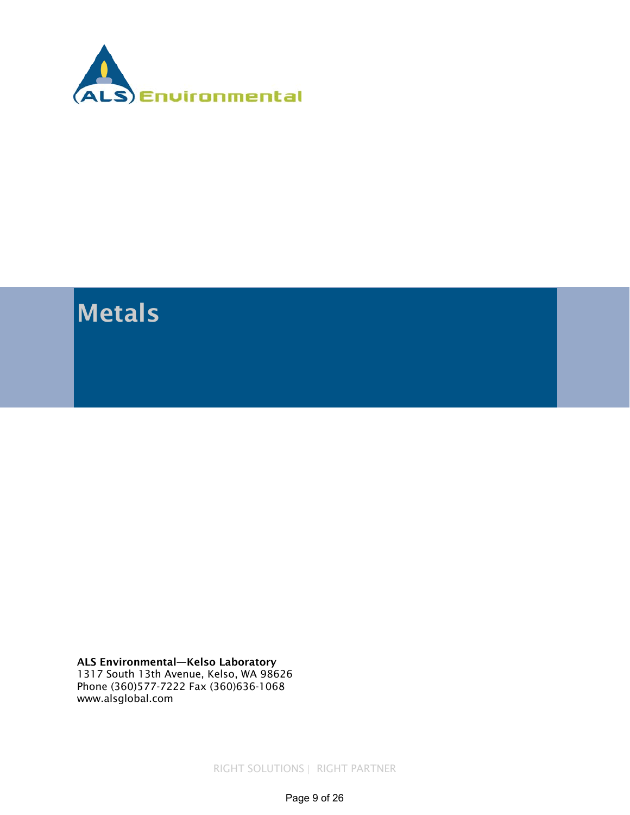<span id="page-8-0"></span>

## Metals

ALS Environmental—Kelso Laboratory 1317 South 13th Avenue, Kelso, WA 98626 Phone (360)577-7222 Fax (360)636-1068 www.alsglobal.com

RIGHT SOLUTIONS | RIGHT PARTNER

Page 9 of 26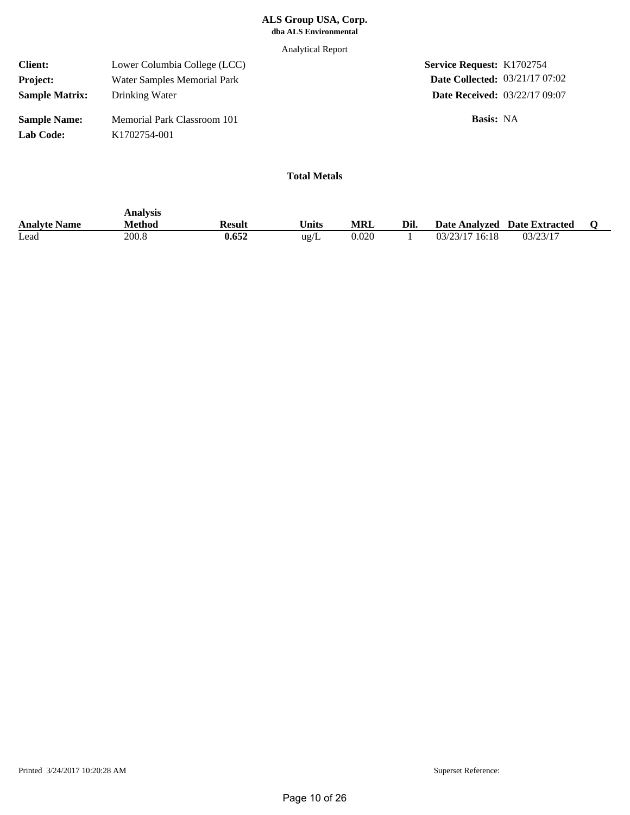Analytical Report

| <b>Client:</b>                   | Lower Columbia College (LCC)                | <b>Service Request: K1702754</b>      |  |
|----------------------------------|---------------------------------------------|---------------------------------------|--|
| <b>Project:</b>                  | Water Samples Memorial Park                 | <b>Date Collected: 03/21/17 07:02</b> |  |
| <b>Sample Matrix:</b>            | Drinking Water                              | <b>Date Received: 03/22/17 09:07</b>  |  |
| <b>Sample Name:</b><br>Lab Code: | Memorial Park Classroom 101<br>K1702754-001 | <b>Basis:</b> NA                      |  |

|                     | Analysis |        |               |       |      |                  |                              |  |
|---------------------|----------|--------|---------------|-------|------|------------------|------------------------------|--|
| <b>Analyte Name</b> | Method   | Result | <b>Inits</b>  | MRL   | Dil. |                  | Date Analyzed Date Extracted |  |
| Lead                | 200.8    | 0.652  | $\text{ug/L}$ | 0.020 |      | $03/23/17$ 16:18 | 03/23/17                     |  |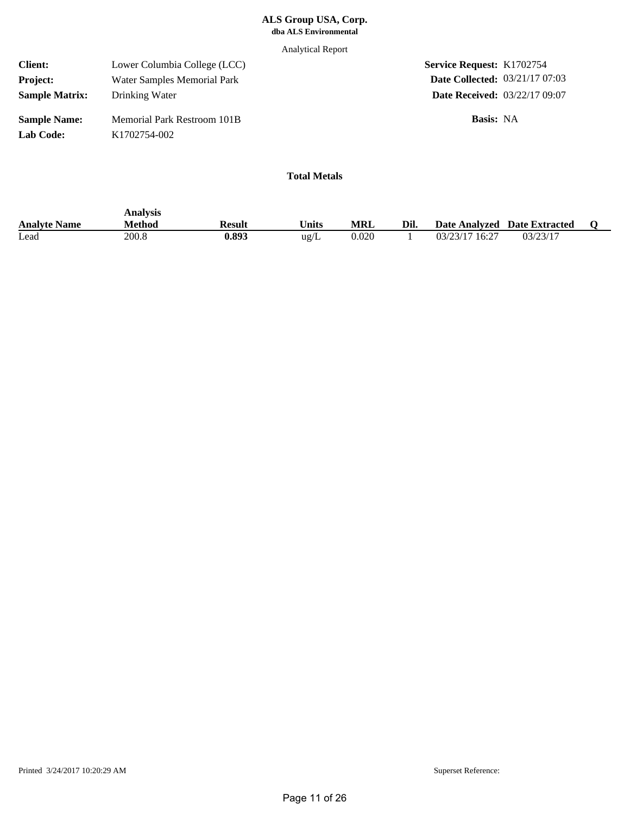Analytical Report

| <b>Client:</b>                   | Lower Columbia College (LCC)                            | <b>Service Request: K1702754</b>      |  |
|----------------------------------|---------------------------------------------------------|---------------------------------------|--|
| <b>Project:</b>                  | Water Samples Memorial Park                             | <b>Date Collected: 03/21/17 07:03</b> |  |
| <b>Sample Matrix:</b>            | Drinking Water                                          | <b>Date Received: 03/22/17 09:07</b>  |  |
| <b>Sample Name:</b><br>Lab Code: | Memorial Park Restroom 101B<br>K <sub>1702754-002</sub> | <b>Basis:</b> NA                      |  |

|                     | Analysis |        |                       |       |      |                |                              |  |
|---------------------|----------|--------|-----------------------|-------|------|----------------|------------------------------|--|
| <b>Analyte Name</b> | Method   | Result | $^{\mathsf{T}}$ Inits | MRL   | Dil. |                | Date Analyzed Date Extracted |  |
| Lead                | 200.8    | 0.893  | ug/L                  | 0.020 |      | 03/23/17 16:27 | 03/23/17                     |  |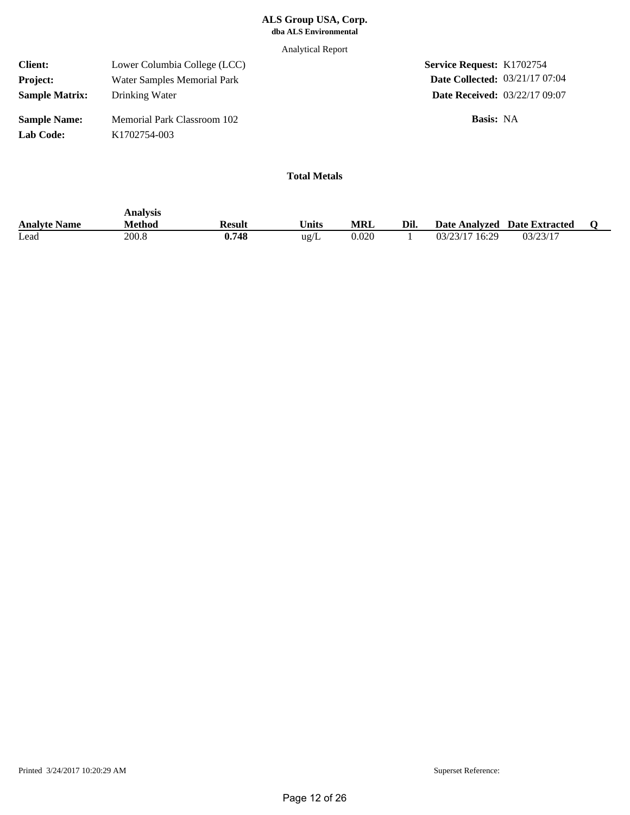Analytical Report

| <b>Client:</b>                   | Lower Columbia College (LCC)                             | <b>Service Request: K1702754</b>      |  |
|----------------------------------|----------------------------------------------------------|---------------------------------------|--|
| <b>Project:</b>                  | Water Samples Memorial Park                              | <b>Date Collected: 03/21/17 07:04</b> |  |
| <b>Sample Matrix:</b>            | Drinking Water                                           | <b>Date Received: 03/22/17 09:07</b>  |  |
| <b>Sample Name:</b><br>Lab Code: | Memorial Park Classroom 102<br>K <sub>1702754</sub> -003 | <b>Basis:</b> NA                      |  |

|                     | Analysis |        |                       |            |      |                |                              |  |
|---------------------|----------|--------|-----------------------|------------|------|----------------|------------------------------|--|
| <b>Analyte Name</b> | Method   | Result | $^{\mathsf{T}}$ Inits | <b>MRL</b> | Dil. |                | Date Analyzed Date Extracted |  |
| Lead                | 200.8    | 0.748  | ug/L                  | 0.020      |      | 03/23/17 16:29 | 03/23/17                     |  |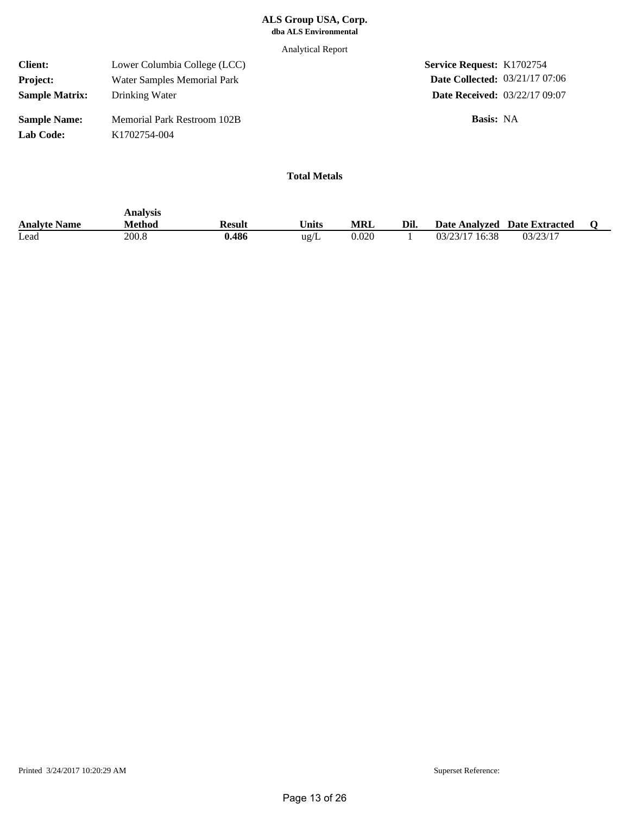Analytical Report

| <b>Client:</b>                   | Lower Columbia College (LCC)                                   | <b>Service Request: K1702754</b>      |  |
|----------------------------------|----------------------------------------------------------------|---------------------------------------|--|
| <b>Project:</b>                  | Water Samples Memorial Park                                    | <b>Date Collected: 03/21/17 07:06</b> |  |
| <b>Sample Matrix:</b>            | Drinking Water                                                 | <b>Date Received: 03/22/17 09:07</b>  |  |
| <b>Sample Name:</b><br>Lab Code: | <b>Memorial Park Restroom 102B</b><br>K <sub>1702754-004</sub> | <b>Basis:</b> NA                      |  |

|                     | Analysis      |        |                   |       |      |                |                              |  |
|---------------------|---------------|--------|-------------------|-------|------|----------------|------------------------------|--|
| <b>Analyte Name</b> | <b>Method</b> | Result | $v_{\text{hits}}$ | MRL   | Dil. |                | Date Analyzed Date Extracted |  |
| Lead                | 200.8         | 0.486  | ug/L              | 0.020 |      | 03/23/17 16:38 | 03/23/17                     |  |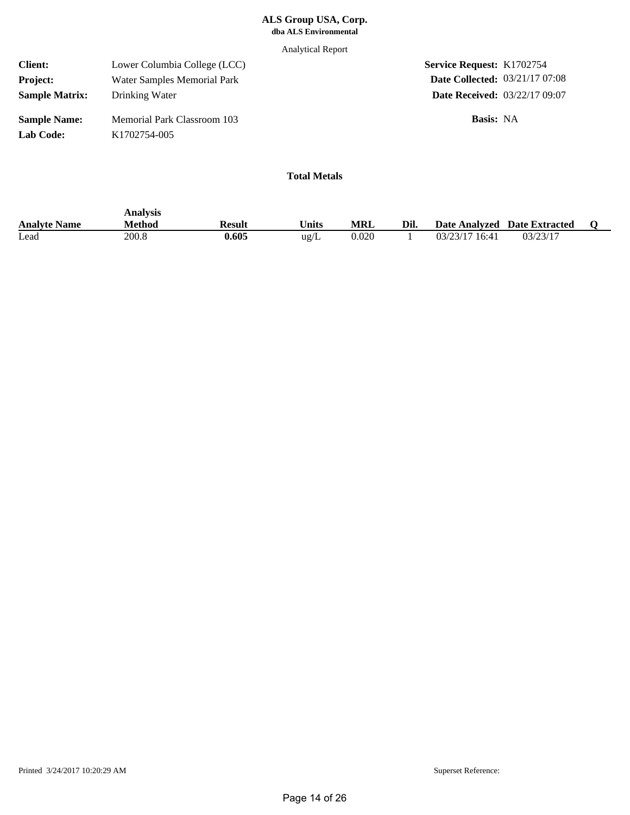Analytical Report

| <b>Client:</b>        | Lower Columbia College (LCC) | <b>Service Request: K1702754</b>      |
|-----------------------|------------------------------|---------------------------------------|
| <b>Project:</b>       | Water Samples Memorial Park  | <b>Date Collected: 03/21/17 07:08</b> |
| <b>Sample Matrix:</b> | Drinking Water               | <b>Date Received: 03/22/17 09:07</b>  |
| <b>Sample Name:</b>   | Memorial Park Classroom 103  | Basis: NA                             |
| Lab Code:             | K <sub>1702754</sub> -005    |                                       |

|                     | Analysis |        |                       |            |      |                |                              |  |
|---------------------|----------|--------|-----------------------|------------|------|----------------|------------------------------|--|
| <b>Analyte Name</b> | Method   | Result | $^{\mathsf{T}}$ inits | <b>MRL</b> | Dil. |                | Date Analyzed Date Extracted |  |
| Lead                | 200.8    | 0.605  | ug/L                  | 0.020      |      | 03/23/17 16:41 | 03/23/17                     |  |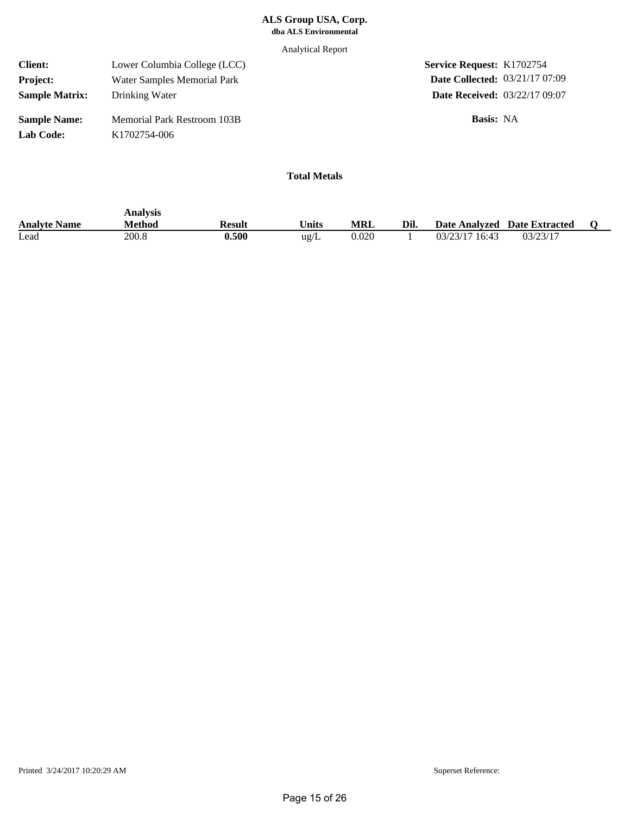Analytical Report

| <b>Client:</b>                   | Lower Columbia College (LCC)                                   | <b>Service Request: K1702754</b>      |  |
|----------------------------------|----------------------------------------------------------------|---------------------------------------|--|
| <b>Project:</b>                  | Water Samples Memorial Park                                    | <b>Date Collected: 03/21/17 07:09</b> |  |
| <b>Sample Matrix:</b>            | Drinking Water                                                 | <b>Date Received: 03/22/17 09:07</b>  |  |
| <b>Sample Name:</b><br>Lab Code: | <b>Memorial Park Restroom 103B</b><br>K <sub>1702754-006</sub> | <b>Basis:</b> NA                      |  |

|                     | Analysis      |        |                       |       |      |                |                              |  |
|---------------------|---------------|--------|-----------------------|-------|------|----------------|------------------------------|--|
| <b>Analyte Name</b> | <b>Method</b> | Result | $^{\mathsf{T}}$ inits | MRL   | Dil. |                | Date Analyzed Date Extracted |  |
| Lead                | 200.8         | 0.500  | $\text{ug/L}$         | 0.020 |      | 03/23/17 16:43 | 03/23/17                     |  |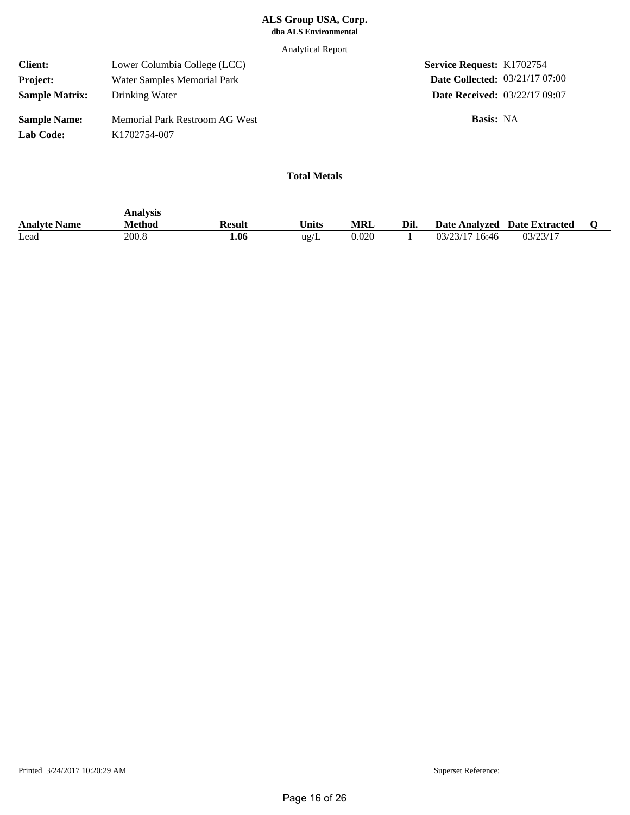Analytical Report

| <b>Client:</b>                          | Lower Columbia College (LCC)                                | <b>Service Request: K1702754</b>      |  |
|-----------------------------------------|-------------------------------------------------------------|---------------------------------------|--|
| <b>Project:</b>                         | Water Samples Memorial Park                                 | <b>Date Collected: 03/21/17 07:00</b> |  |
| <b>Sample Matrix:</b>                   | Drinking Water                                              | <b>Date Received: 03/22/17 09:07</b>  |  |
| <b>Sample Name:</b><br><b>Lab Code:</b> | Memorial Park Restroom AG West<br>K <sub>1702754</sub> -007 | <b>Basis:</b> NA                      |  |

|                     | Analysis |        |                   |            |      |                              |          |  |
|---------------------|----------|--------|-------------------|------------|------|------------------------------|----------|--|
| <b>Analyte Name</b> | Method   | Result | $v_{\text{hits}}$ | <b>MRL</b> | Dil. | Date Analyzed Date Extracted |          |  |
| Lead                | 200.8    | 06     | ug/L              | 0.020      |      | 03/23/17 16:46               | 03/23/17 |  |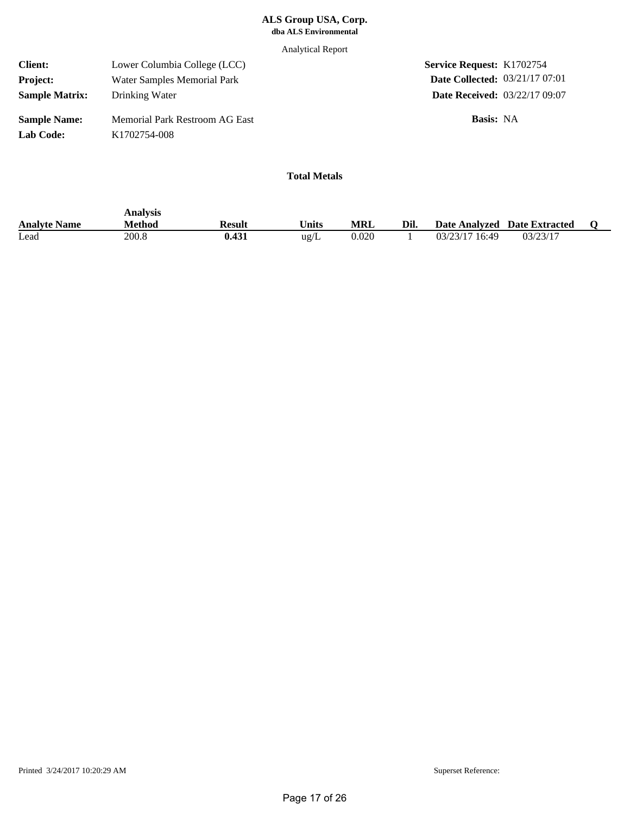Analytical Report

| <b>Client:</b>                   | Lower Columbia College (LCC)                                | <b>Service Request: K1702754</b>      |  |
|----------------------------------|-------------------------------------------------------------|---------------------------------------|--|
| <b>Project:</b>                  | Water Samples Memorial Park                                 | <b>Date Collected: 03/21/17 07:01</b> |  |
| <b>Sample Matrix:</b>            | Drinking Water                                              | <b>Date Received: 03/22/17 09:07</b>  |  |
| <b>Sample Name:</b><br>Lab Code: | Memorial Park Restroom AG East<br>K <sub>1702754</sub> -008 | <b>Basis:</b> NA                      |  |

|                     | Analysis |        |               |            |      |                |                              |  |
|---------------------|----------|--------|---------------|------------|------|----------------|------------------------------|--|
| <b>Analyte Name</b> | Method   | Result | <b>Units</b>  | <b>MRL</b> | Dil. |                | Date Analyzed Date Extracted |  |
| Lead                | 200.8    | 0.431  | $\text{ug/L}$ | 0.020      |      | 03/23/17 16:49 | 03/23/17                     |  |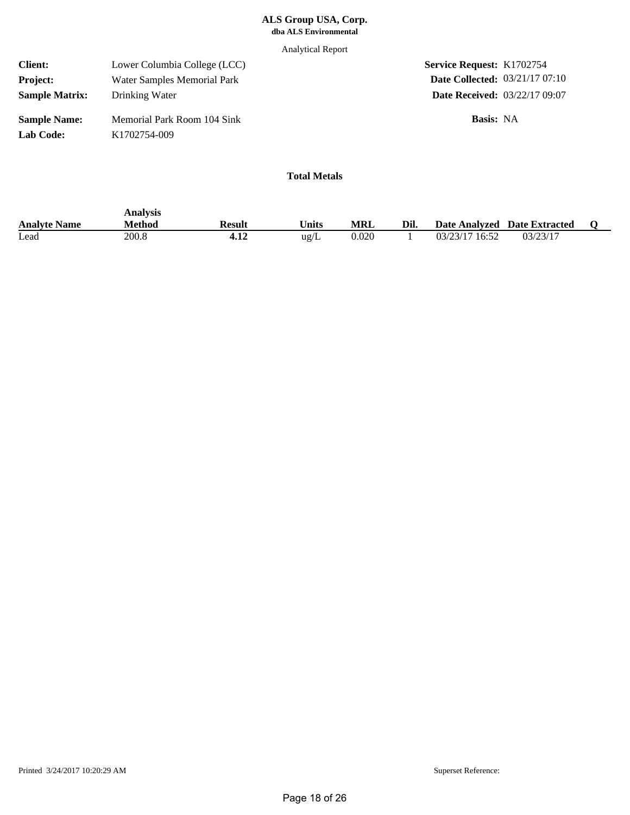Analytical Report

| <b>Client:</b>                   | Lower Columbia College (LCC)                             | <b>Service Request: K1702754</b>      |  |
|----------------------------------|----------------------------------------------------------|---------------------------------------|--|
| <b>Project:</b>                  | Water Samples Memorial Park                              | <b>Date Collected: 03/21/17 07:10</b> |  |
| <b>Sample Matrix:</b>            | Drinking Water                                           | <b>Date Received: 03/22/17 09:07</b>  |  |
| <b>Sample Name:</b><br>Lab Code: | Memorial Park Room 104 Sink<br>K <sub>1702754</sub> -009 | <b>Basis:</b> NA                      |  |

|                     | Analysis      |            |                   |       |      |                |                              |  |
|---------------------|---------------|------------|-------------------|-------|------|----------------|------------------------------|--|
| <b>Analyte Name</b> | <b>Method</b> | Result     | $v_{\text{hits}}$ | MRL   | Dil. |                | Date Analyzed Date Extracted |  |
| Lead                | 200.8         | 14<br>9.⊥∠ | ug/L              | 0.020 |      | 03/23/17 16:52 | 03/23/17                     |  |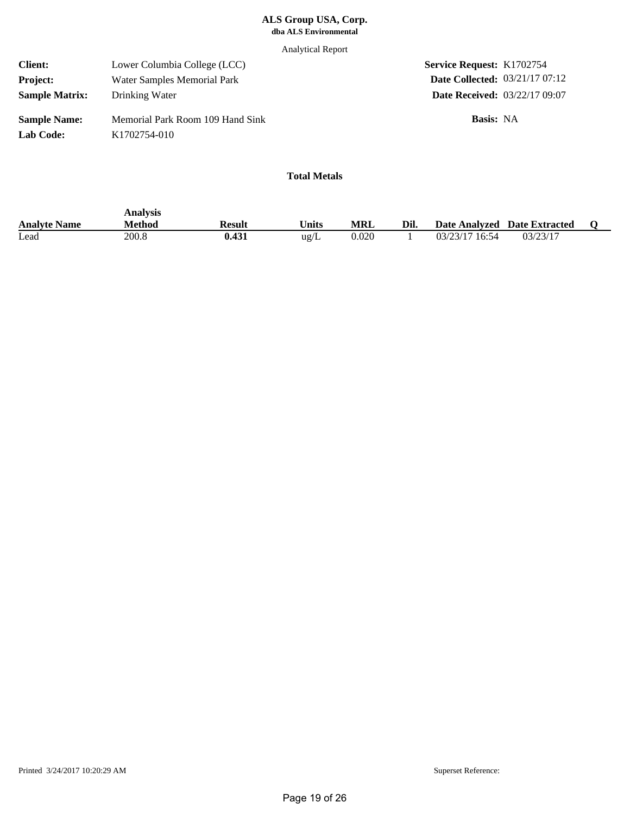Analytical Report

| <b>Client:</b>        | Lower Columbia College (LCC)     | <b>Service Request: K1702754</b>      |  |
|-----------------------|----------------------------------|---------------------------------------|--|
| <b>Project:</b>       | Water Samples Memorial Park      | <b>Date Collected: 03/21/17 07:12</b> |  |
| <b>Sample Matrix:</b> | Drinking Water                   | <b>Date Received: 03/22/17 09:07</b>  |  |
| <b>Sample Name:</b>   | Memorial Park Room 109 Hand Sink | <b>Basis:</b> NA                      |  |
| Lab Code:             | K <sub>1702754</sub> -010        |                                       |  |

|                     | Analysis      |        |                   |       |      |                |                              |  |
|---------------------|---------------|--------|-------------------|-------|------|----------------|------------------------------|--|
| <b>Analyte Name</b> | <b>Method</b> | Result | $v_{\text{hits}}$ | MRL   | Dil. |                | Date Analyzed Date Extracted |  |
| Lead                | 200.8         | 0.431  | ug/L              | 0.020 |      | 03/23/17 16:54 | 03/23/17                     |  |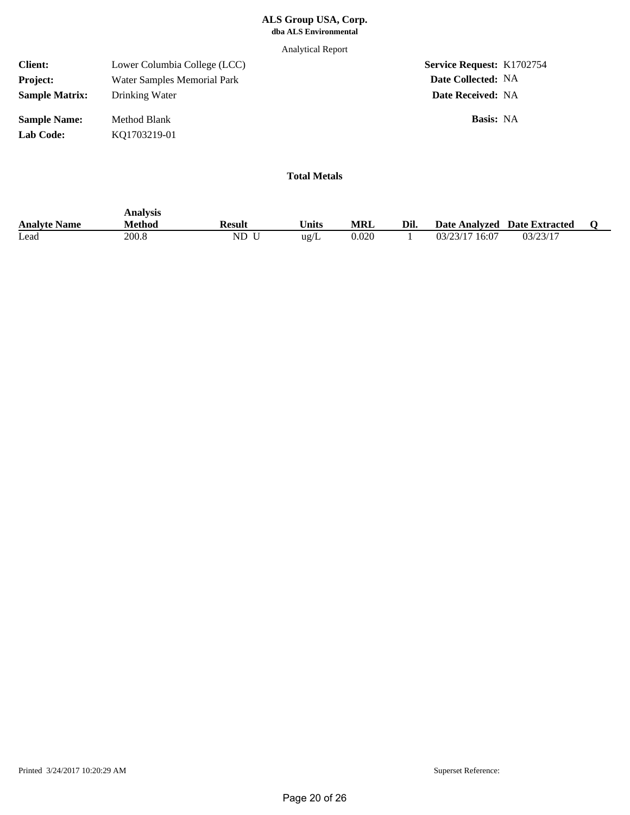Analytical Report

| <b>Client:</b>        | Lower Columbia College (LCC) | <b>Service Request: K1702754</b> |
|-----------------------|------------------------------|----------------------------------|
| <b>Project:</b>       | Water Samples Memorial Park  | Date Collected: NA               |
| <b>Sample Matrix:</b> | Drinking Water               | <b>Date Received: NA</b>         |
| <b>Sample Name:</b>   | Method Blank                 | <b>Basis:</b> NA                 |
| Lab Code:             | KQ1703219-01                 |                                  |
|                       |                              |                                  |

|                     | <b>Analysis</b> |        |               |            |      |                              |          |  |
|---------------------|-----------------|--------|---------------|------------|------|------------------------------|----------|--|
| <b>Analyte Name</b> | Method          | Result | <b>Jnits</b>  | <b>MRL</b> | Dil. | Date Analyzed Date Extracted |          |  |
| Lead                | 200.8           | ND.    | $\text{ug/L}$ | 0.020      |      | 03/23/17 16:07               | 03/23/17 |  |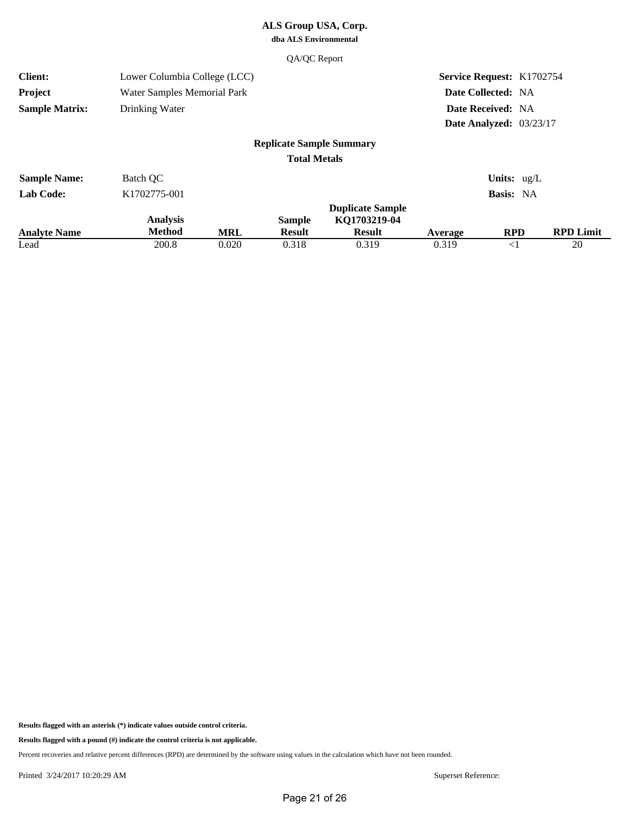#### QA/QC Report

| <b>Client:</b>        | Lower Columbia College (LCC)     |            |                                 |                                                          |         | <b>Service Request: K1702754</b> |                  |
|-----------------------|----------------------------------|------------|---------------------------------|----------------------------------------------------------|---------|----------------------------------|------------------|
| Project               | Water Samples Memorial Park      |            |                                 |                                                          |         | Date Collected: NA               |                  |
| <b>Sample Matrix:</b> | Drinking Water                   |            |                                 |                                                          |         | Date Received: NA                |                  |
|                       |                                  |            |                                 |                                                          |         | Date Analyzed: 03/23/17          |                  |
|                       |                                  |            | <b>Replicate Sample Summary</b> |                                                          |         |                                  |                  |
|                       |                                  |            | <b>Total Metals</b>             |                                                          |         |                                  |                  |
| <b>Sample Name:</b>   | Batch QC                         |            |                                 |                                                          |         | <b>Units:</b> $ug/L$             |                  |
| <b>Lab Code:</b>      | K1702775-001                     |            |                                 |                                                          |         | Basis: NA                        |                  |
| <b>Analyte Name</b>   | <b>Analysis</b><br><b>Method</b> | <b>MRL</b> | <b>Sample</b><br><b>Result</b>  | <b>Duplicate Sample</b><br>KQ1703219-04<br><b>Result</b> | Average | <b>RPD</b>                       | <b>RPD Limit</b> |
| Lead                  | 200.8                            | 0.020      | 0.318                           | 0.319                                                    | 0.319   | $<$ 1                            | 20               |

**Results flagged with an asterisk (\*) indicate values outside control criteria.**

**Results flagged with a pound (#) indicate the control criteria is not applicable.**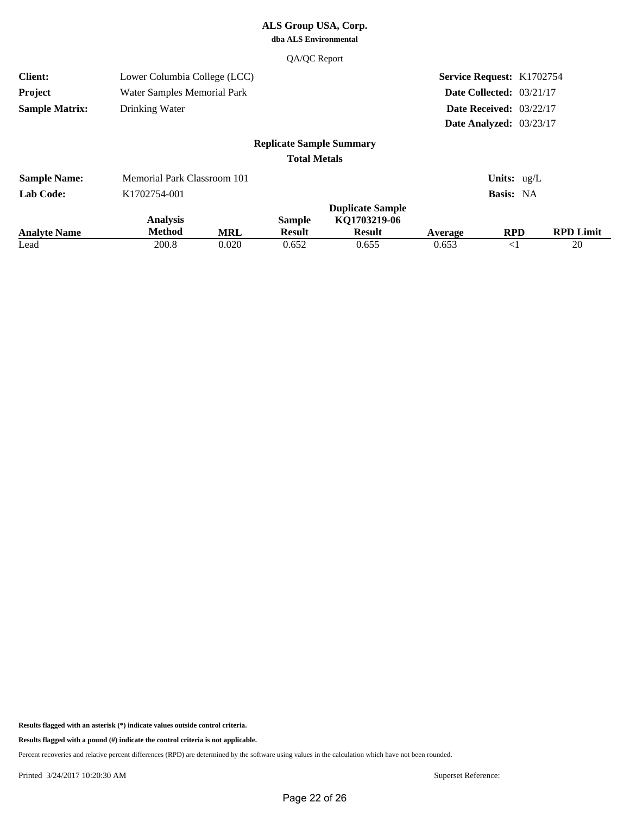#### QA/QC Report

| <b>Client:</b>              | Lower Columbia College (LCC) |                     |                                 |                                         |                  | <b>Service Request: K1702754</b> |                        |
|-----------------------------|------------------------------|---------------------|---------------------------------|-----------------------------------------|------------------|----------------------------------|------------------------|
| Project                     | Water Samples Memorial Park  |                     |                                 |                                         |                  | Date Collected: 03/21/17         |                        |
| <b>Sample Matrix:</b>       | Drinking Water               |                     |                                 |                                         |                  | Date Received: $03/22/17$        |                        |
|                             |                              |                     |                                 |                                         |                  | Date Analyzed: 03/23/17          |                        |
|                             |                              |                     | <b>Replicate Sample Summary</b> |                                         |                  |                                  |                        |
|                             |                              |                     | <b>Total Metals</b>             |                                         |                  |                                  |                        |
| <b>Sample Name:</b>         | Memorial Park Classroom 101  |                     |                                 |                                         |                  | Units: $ug/L$                    |                        |
| <b>Lab Code:</b>            | K1702754-001                 |                     |                                 |                                         |                  | Basis: NA                        |                        |
|                             | <b>Analysis</b>              |                     | <b>Sample</b>                   | <b>Duplicate Sample</b><br>KQ1703219-06 |                  |                                  |                        |
| <b>Analyte Name</b><br>Lead | <b>Method</b><br>200.8       | <b>MRL</b><br>0.020 | <b>Result</b><br>0.652          | <b>Result</b><br>0.655                  | Average<br>0.653 | <b>RPD</b><br>$<$ 1              | <b>RPD Limit</b><br>20 |

**Results flagged with an asterisk (\*) indicate values outside control criteria.**

**Results flagged with a pound (#) indicate the control criteria is not applicable.**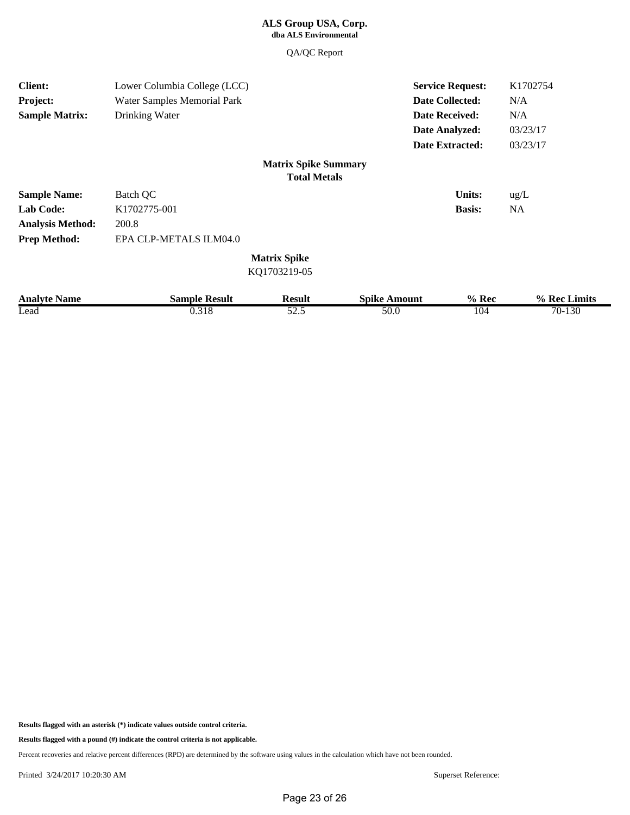QA/QC Report

| <b>Client:</b>          | Lower Columbia College (LCC) |                             |                     | <b>Service Request:</b> | K1702754     |
|-------------------------|------------------------------|-----------------------------|---------------------|-------------------------|--------------|
| Project:                | Water Samples Memorial Park  |                             |                     | <b>Date Collected:</b>  | N/A          |
| <b>Sample Matrix:</b>   | Drinking Water               |                             |                     | <b>Date Received:</b>   | N/A          |
|                         |                              |                             |                     | Date Analyzed:          | 03/23/17     |
|                         |                              |                             |                     | <b>Date Extracted:</b>  | 03/23/17     |
|                         |                              | <b>Matrix Spike Summary</b> |                     |                         |              |
|                         |                              | <b>Total Metals</b>         |                     |                         |              |
| <b>Sample Name:</b>     | Batch QC                     |                             |                     | <b>Units:</b>           | ug/L         |
| <b>Lab Code:</b>        | K1702775-001                 |                             |                     | <b>Basis:</b>           | NA           |
| <b>Analysis Method:</b> | 200.8                        |                             |                     |                         |              |
| <b>Prep Method:</b>     | EPA CLP-METALS ILM04.0       |                             |                     |                         |              |
|                         |                              | <b>Matrix Spike</b>         |                     |                         |              |
|                         |                              | KQ1703219-05                |                     |                         |              |
| <b>Analyte Name</b>     | <b>Sample Result</b>         | <b>Result</b>               | <b>Spike Amount</b> | $%$ Rec                 | % Rec Limits |
| Lead                    | 0.318                        | 52.5                        | 50.0                | 104                     | 70-130       |

**Results flagged with an asterisk (\*) indicate values outside control criteria.**

**Results flagged with a pound (#) indicate the control criteria is not applicable.**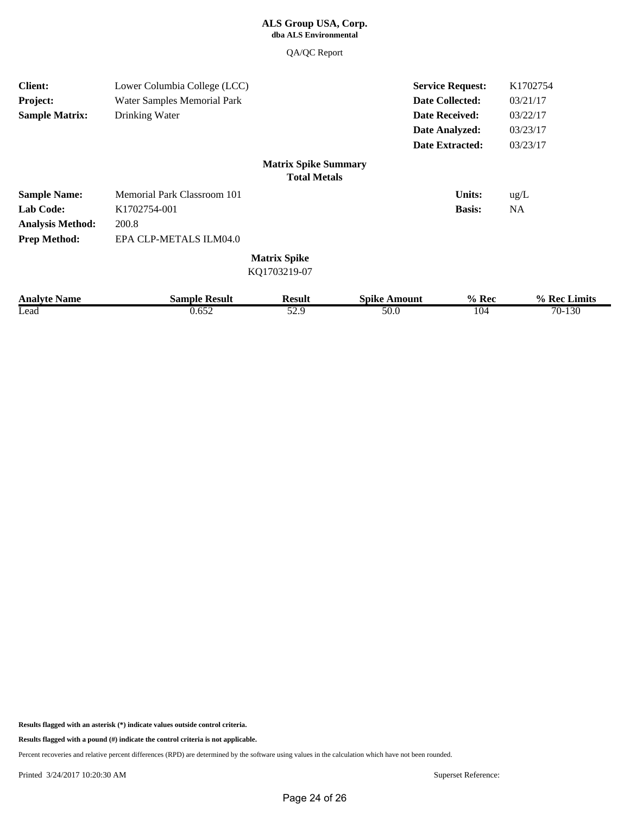QA/QC Report

| <b>Client:</b>          | Lower Columbia College (LCC) |                             |                     | <b>Service Request:</b> | K1702754     |
|-------------------------|------------------------------|-----------------------------|---------------------|-------------------------|--------------|
| Project:                | Water Samples Memorial Park  |                             |                     | <b>Date Collected:</b>  | 03/21/17     |
| <b>Sample Matrix:</b>   | Drinking Water               |                             |                     | <b>Date Received:</b>   | 03/22/17     |
|                         |                              |                             |                     | Date Analyzed:          | 03/23/17     |
|                         |                              |                             |                     | <b>Date Extracted:</b>  | 03/23/17     |
|                         |                              | <b>Matrix Spike Summary</b> |                     |                         |              |
|                         |                              | <b>Total Metals</b>         |                     |                         |              |
| <b>Sample Name:</b>     | Memorial Park Classroom 101  |                             |                     | <b>Units:</b>           | ug/L         |
| <b>Lab Code:</b>        | K1702754-001                 |                             |                     | <b>Basis:</b>           | <b>NA</b>    |
| <b>Analysis Method:</b> | 200.8                        |                             |                     |                         |              |
| <b>Prep Method:</b>     | EPA CLP-METALS ILM04.0       |                             |                     |                         |              |
|                         |                              | <b>Matrix Spike</b>         |                     |                         |              |
|                         |                              | KQ1703219-07                |                     |                         |              |
| <b>Analyte Name</b>     | <b>Sample Result</b>         | <b>Result</b>               | <b>Spike Amount</b> | $%$ Rec                 | % Rec Limits |
| Lead                    | 0.652                        | 52.9                        | 50.0                | 104                     | 70-130       |

**Results flagged with an asterisk (\*) indicate values outside control criteria.**

**Results flagged with a pound (#) indicate the control criteria is not applicable.**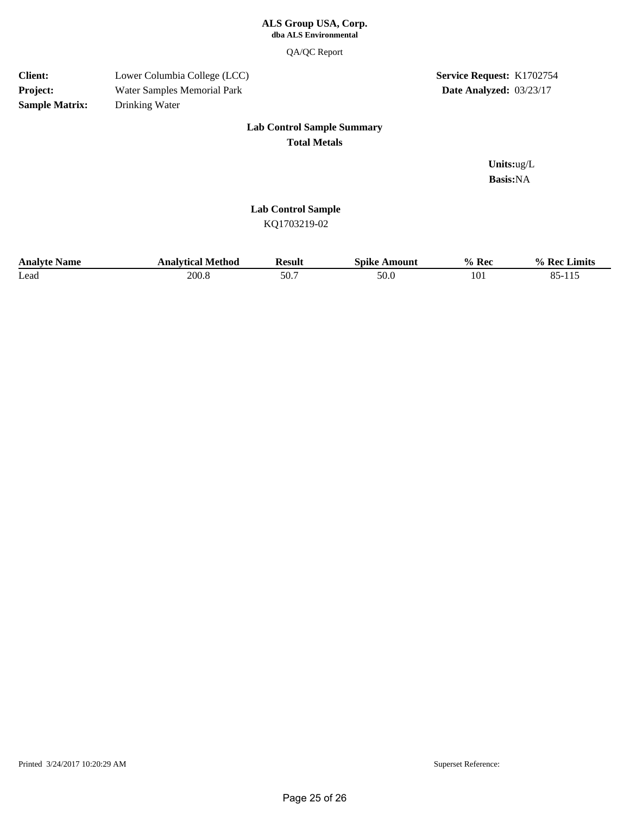#### **dba ALS Environmental ALS Group USA, Corp.**

QA/QC Report

#### Drinking Water Water Samples Memorial Park Lower Columbia College (LCC) **Sample Matrix: Project: Client:**

### **Service Request: K1702754 Date Analyzed:** 03/23/17

#### **Lab Control Sample Summary Total Metals**

**Basis:**NA **Units:**ug/L

#### **Lab Control Sample**

KQ1703219-02

| <b>Analyte Name</b> | Analytical Method | Result | Spike<br>Amount | $%$ Rec | $\frac{0}{0}$<br>Limits<br>. Rec 1 |
|---------------------|-------------------|--------|-----------------|---------|------------------------------------|
| Lead                | 200.8             | 50.7   | 50.0            | 101     | oε<br>11 <sup>7</sup><br>0J-11J    |